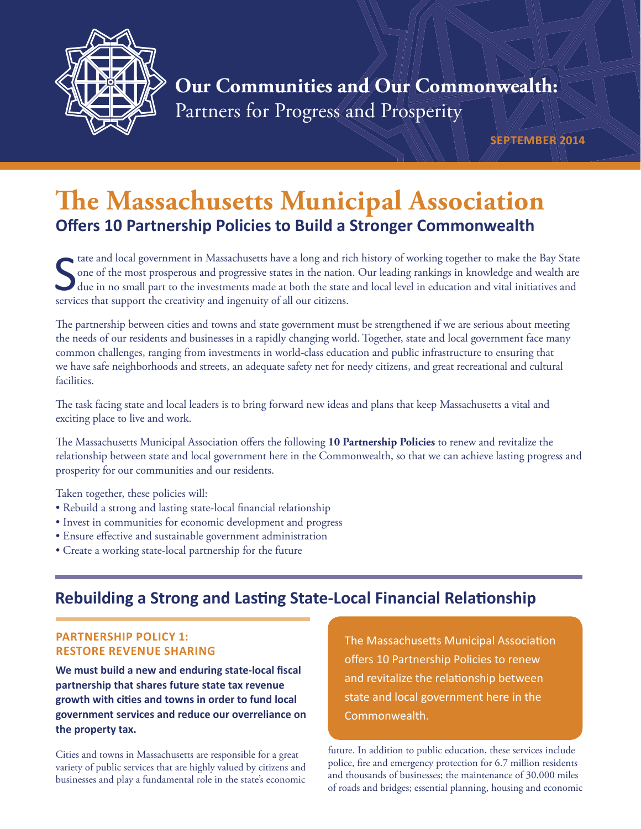

# **Our Communities and Our Commonwealth:** Partners for Progress and Prosperity

**SEPTEMBER 2014**

# **The Massachusetts Municipal Association Offers 10 Partnership Policies to Build a Stronger Commonwealth**

State and local government in Massachusetts have a long and ri one of the most prosperous and progressive states in the nation due in no small part to the investments made at both the state services that support the creati tate and local government in Massachusetts have a long and rich history of working together to make the Bay State one of the most prosperous and progressive states in the nation. Our leading rankings in knowledge and wealth are due in no small part to the investments made at both the state and local level in education and vital initiatives and

The partnership between cities and towns and state government must be strengthened if we are serious about meeting the needs of our residents and businesses in a rapidly changing world. Together, state and local government face many common challenges, ranging from investments in world-class education and public infrastructure to ensuring that we have safe neighborhoods and streets, an adequate safety net for needy citizens, and great recreational and cultural facilities.

The task facing state and local leaders is to bring forward new ideas and plans that keep Massachusetts a vital and exciting place to live and work.

The Massachusetts Municipal Association offers the following 10 Partnership Policies to renew and revitalize the relationship between state and local government here in the Commonwealth, so that we can achieve lasting progress and prosperity for our communities and our residents.

Taken together, these policies will:

- Rebuild a strong and lasting state-local financial relationship
- Invest in communities for economic development and progress
- Ensure effective and sustainable government administration
- Create a working state-local partnership for the future

## **Rebuilding a Strong and Lasting State-Local Financial Relationship**

#### **PARTNERSHIP POLICY 1: RESTORE REVENUE SHARING**

We must build a new and enduring state-local fiscal **partnership that shares future state tax revenue**  growth with cities and towns in order to fund local **government services and reduce our overreliance on the property tax.**

Cities and towns in Massachusetts are responsible for a great variety of public services that are highly valued by citizens and businesses and play a fundamental role in the state's economic The Massachusetts Municipal Association offers 10 Partnership Policies to renew and revitalize the relationship between state and local government here in the Commonwealth.

future. In addition to public education, these services include police, fire and emergency protection for 6.7 million residents and thousands of businesses; the maintenance of 30,000 miles of roads and bridges; essential planning, housing and economic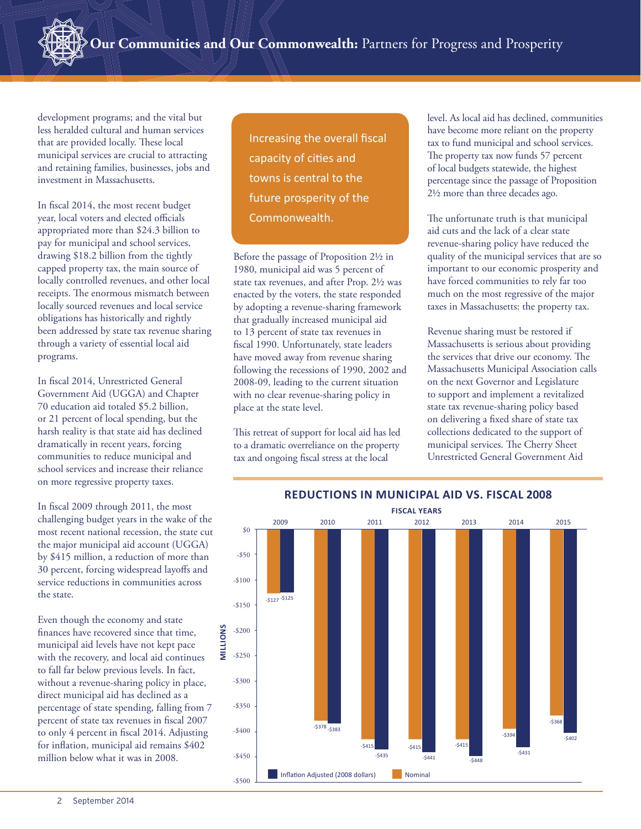development programs; and the vital but less heralded cultural and human services that are provided locally. These local municipal services are crucial to attracting and retaining families, businesses, jobs and investment in Massachusetts.

In fiscal 2014, the most recent budget year, local voters and elected officials appropriated more than \$24.3 billion to pay for municipal and school services, drawing \$18.2 billion from the tightly capped property tax, the main source of locally controlled revenues, and other local receipts. The enormous mismatch between locally sourced revenues and local service obligations has historically and rightly been addressed by state tax revenue sharing through a variety of essential local aid programs.

In fiscal 2014, Unrestricted General Government Aid (UGGA) and Chapter 70 education aid totaled \$5.2 billion, or 21 percent of local spending, but the harsh reality is that state aid has declined dramatically in recent years, forcing communities to reduce municipal and school services and increase their reliance on more regressive property taxes.

In fiscal 2009 through 2011, the most challenging budget years in the wake of the most recent national recession, the state cut the major municipal aid account (UGGA) by \$415 million, a reduction of more than 30 percent, forcing widespread layoffs and service reductions in communities across the state.

Even though the economy and state finances have recovered since that time, municipal aid levels have not kept pace with the recovery, and local aid continues to fall far below previous levels. In fact, without a revenue-sharing policy in place, direct municipal aid has declined as a percentage of state spending, falling from 7 percent of state tax revenues in fiscal 2007 to only 4 percent in fiscal 2014. Adjusting for inflation, municipal aid remains \$402 million below what it was in 2008.

Increasing the overall fiscal capacity of cities and towns is central to the future prosperity of the Commonwealth.

Before the passage of Proposition 2½ in 1980, municipal aid was 5 percent of state tax revenues, and after Prop. 2½ was enacted by the voters, the state responded by adopting a revenue-sharing framework that gradually increased municipal aid to 13 percent of state tax revenues in fiscal 1990. Unfortunately, state leaders have moved away from revenue sharing following the recessions of 1990, 2002 and 2008-09, leading to the current situation with no clear revenue-sharing policy in place at the state level.

This retreat of support for local aid has led to a dramatic overreliance on the property tax and ongoing fiscal stress at the local

level. As local aid has declined, communities have become more reliant on the property tax to fund municipal and school services. The property tax now funds 57 percent of local budgets statewide, the highest percentage since the passage of Proposition 2½ more than three decades ago.

The unfortunate truth is that municipal aid cuts and the lack of a clear state revenue-sharing policy have reduced the quality of the municipal services that are so important to our economic prosperity and have forced communities to rely far too much on the most regressive of the major taxes in Massachusetts: the property tax.

Revenue sharing must be restored if Massachusetts is serious about providing the services that drive our economy. The Massachusetts Municipal Association calls on the next Governor and Legislature to support and implement a revitalized state tax revenue-sharing policy based on delivering a fixed share of state tax collections dedicated to the support of municipal services. The Cherry Sheet Unrestricted General Government Aid



#### **REDUCTIONS IN MUNICIPAL AID VS. FISCAL 2008 Reductions in Municipal Aid Since Fiscal 2008**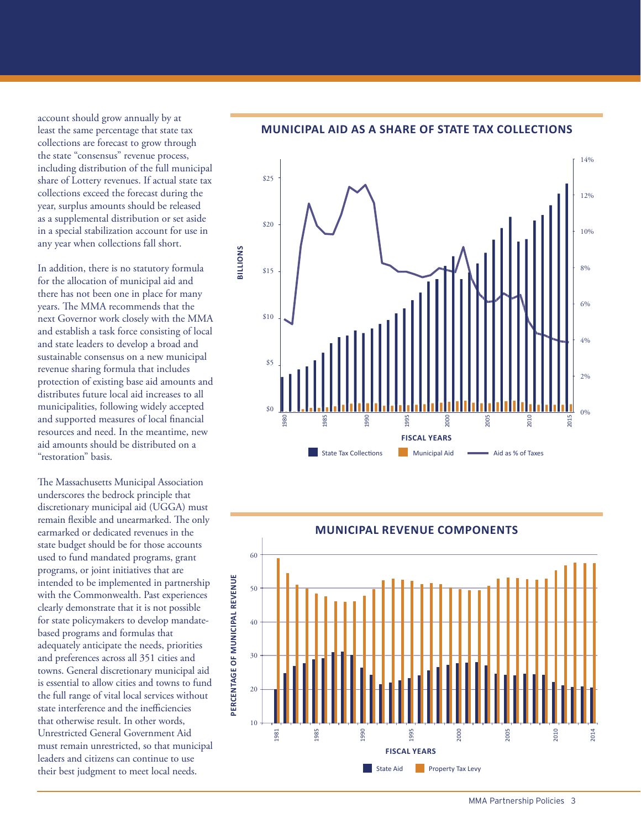account should grow annually by at least the same percentage that state tax collections are forecast to grow through the state "consensus" revenue process, including distribution of the full municipal share of Lottery revenues. If actual state tax collections exceed the forecast during the year, surplus amounts should be released as a supplemental distribution or set aside in a special stabilization account for use in any year when collections fall short.

In addition, there is no statutory formula for the allocation of municipal aid and there has not been one in place for many years. The MMA recommends that the next Governor work closely with the MMA and establish a task force consisting of local and state leaders to develop a broad and sustainable consensus on a new municipal revenue sharing formula that includes protection of existing base aid amounts and distributes future local aid increases to all municipalities, following widely accepted and supported measures of local financial resources and need. In the meantime, new aid amounts should be distributed on a "restoration" basis.

The Massachusetts Municipal Association underscores the bedrock principle that discretionary municipal aid (UGGA) must remain flexible and unearmarked. The only earmarked or dedicated revenues in the state budget should be for those accounts used to fund mandated programs, grant programs, or joint initiatives that are intended to be implemented in partnership with the Commonwealth. Past experiences clearly demonstrate that it is not possible for state policymakers to develop mandatebased programs and formulas that adequately anticipate the needs, priorities and preferences across all 351 cities and towns. General discretionary municipal aid is essential to allow cities and towns to fund the full range of vital local services without state interference and the inefficiencies that otherwise result. In other words, Unrestricted General Government Aid must remain unrestricted, so that municipal leaders and citizens can continue to use their best judgment to meet local needs.

#### **MUNICIPAL AID AS A SHARE OF STATE TAX COLLECTIONS Municipal Aid as a Share of State Taxes**



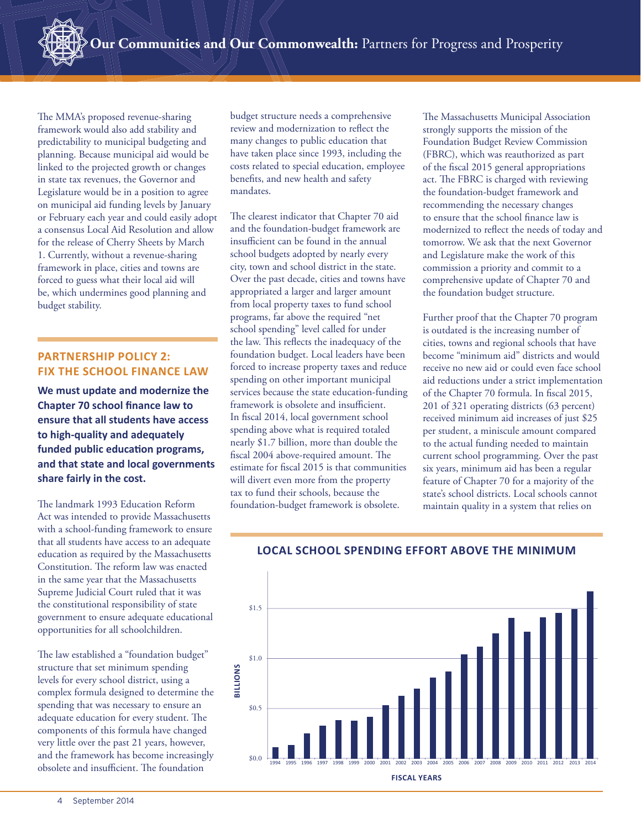The MMA's proposed revenue-sharing framework would also add stability and predictability to municipal budgeting and planning. Because municipal aid would be linked to the projected growth or changes in state tax revenues, the Governor and Legislature would be in a position to agree on municipal aid funding levels by January or February each year and could easily adopt a consensus Local Aid Resolution and allow for the release of Cherry Sheets by March 1. Currently, without a revenue-sharing framework in place, cities and towns are forced to guess what their local aid will be, which undermines good planning and budget stability.

#### **PARTNERSHIP POLICY 2: FIX THE SCHOOL FINANCE LAW**

**We must update and modernize the Chapter 70 school finance law to ensure that all students have access to high-quality and adequately funded public education programs, and that state and local governments share fairly in the cost.**

The landmark 1993 Education Reform Act was intended to provide Massachusetts with a school-funding framework to ensure that all students have access to an adequate education as required by the Massachusetts Constitution. The reform law was enacted in the same year that the Massachusetts Supreme Judicial Court ruled that it was the constitutional responsibility of state government to ensure adequate educational opportunities for all schoolchildren.

The law established a "foundation budget" structure that set minimum spending levels for every school district, using a complex formula designed to determine the spending that was necessary to ensure an adequate education for every student. The components of this formula have changed very little over the past 21 years, however, and the framework has become increasingly obsolete and insufficient. The foundation

budget structure needs a comprehensive review and modernization to reflect the many changes to public education that have taken place since 1993, including the costs related to special education, employee benefits, and new health and safety mandates.

The clearest indicator that Chapter 70 aid and the foundation-budget framework are insufficient can be found in the annual school budgets adopted by nearly every city, town and school district in the state. Over the past decade, cities and towns have appropriated a larger and larger amount from local property taxes to fund school programs, far above the required "net school spending" level called for under the law. This reflects the inadequacy of the foundation budget. Local leaders have been forced to increase property taxes and reduce spending on other important municipal services because the state education-funding framework is obsolete and insufficient. In fiscal 2014, local government school spending above what is required totaled nearly \$1.7 billion, more than double the fiscal 2004 above-required amount. The estimate for fiscal 2015 is that communities will divert even more from the property tax to fund their schools, because the foundation-budget framework is obsolete.

The Massachusetts Municipal Association strongly supports the mission of the Foundation Budget Review Commission (FBRC), which was reauthorized as part of the fiscal 2015 general appropriations act. The FBRC is charged with reviewing the foundation-budget framework and recommending the necessary changes to ensure that the school finance law is modernized to reflect the needs of today and tomorrow. We ask that the next Governor and Legislature make the work of this commission a priority and commit to a comprehensive update of Chapter 70 and the foundation budget structure.

Further proof that the Chapter 70 program is outdated is the increasing number of cities, towns and regional schools that have become "minimum aid" districts and would receive no new aid or could even face school aid reductions under a strict implementation of the Chapter 70 formula. In fiscal 2015, 201 of 321 operating districts (63 percent) received minimum aid increases of just \$25 per student, a miniscule amount compared to the actual funding needed to maintain current school programming. Over the past six years, minimum aid has been a regular feature of Chapter 70 for a majority of the state's school districts. Local schools cannot maintain quality in a system that relies on



## LOCAL SCHOOL SPENDING EFFORT ABOVE THE MINIMUM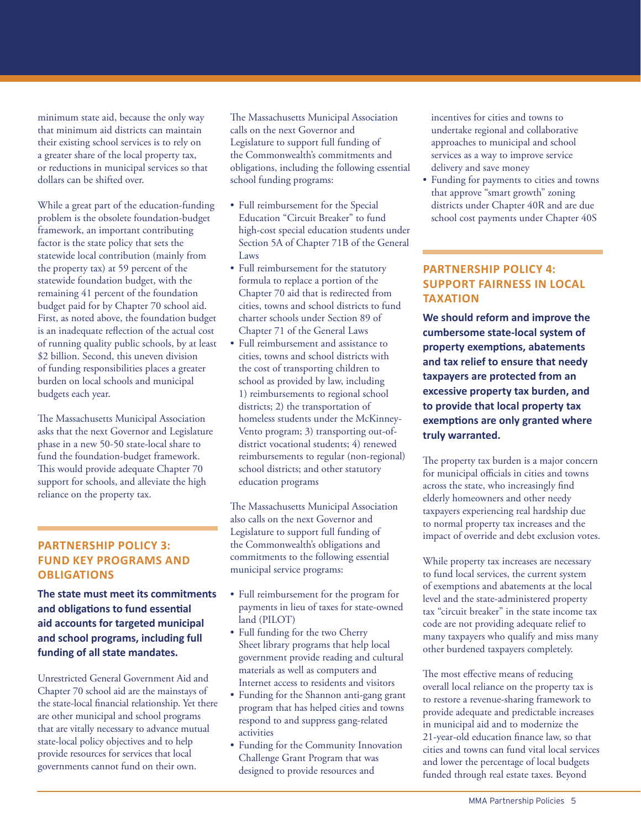minimum state aid, because the only way that minimum aid districts can maintain their existing school services is to rely on a greater share of the local property tax, or reductions in municipal services so that dollars can be shifted over.

While a great part of the education-funding problem is the obsolete foundation-budget framework, an important contributing factor is the state policy that sets the statewide local contribution (mainly from the property tax) at 59 percent of the statewide foundation budget, with the remaining 41 percent of the foundation budget paid for by Chapter 70 school aid. First, as noted above, the foundation budget is an inadequate reflection of the actual cost of running quality public schools, by at least \$2 billion. Second, this uneven division of funding responsibilities places a greater burden on local schools and municipal budgets each year.

The Massachusetts Municipal Association asks that the next Governor and Legislature phase in a new 50-50 state-local share to fund the foundation-budget framework. This would provide adequate Chapter 70 support for schools, and alleviate the high reliance on the property tax.

## **PARTNERSHIP POLICY 3: FUND KEY PROGRAMS AND OBLIGATIONS**

**The state must meet its commitments and obligations to fund essential aid accounts for targeted municipal and school programs, including full funding of all state mandates.**

Unrestricted General Government Aid and Chapter 70 school aid are the mainstays of the state-local financial relationship. Yet there are other municipal and school programs that are vitally necessary to advance mutual state-local policy objectives and to help provide resources for services that local governments cannot fund on their own.

The Massachusetts Municipal Association calls on the next Governor and Legislature to support full funding of the Commonwealth's commitments and obligations, including the following essential school funding programs:

- Full reimbursement for the Special Education "Circuit Breaker" to fund high-cost special education students under Section 5A of Chapter 71B of the General Laws
- Full reimbursement for the statutory formula to replace a portion of the Chapter 70 aid that is redirected from cities, towns and school districts to fund charter schools under Section 89 of Chapter 71 of the General Laws
- Full reimbursement and assistance to cities, towns and school districts with the cost of transporting children to school as provided by law, including 1) reimbursements to regional school districts; 2) the transportation of homeless students under the McKinney-Vento program; 3) transporting out-ofdistrict vocational students; 4) renewed reimbursements to regular (non-regional) school districts; and other statutory education programs

The Massachusetts Municipal Association also calls on the next Governor and Legislature to support full funding of the Commonwealth's obligations and commitments to the following essential municipal service programs:

- Full reimbursement for the program for payments in lieu of taxes for state-owned land (PILOT)
- Full funding for the two Cherry Sheet library programs that help local government provide reading and cultural materials as well as computers and Internet access to residents and visitors
- Funding for the Shannon anti-gang grant program that has helped cities and towns respond to and suppress gang-related activities
- Funding for the Community Innovation Challenge Grant Program that was designed to provide resources and

incentives for cities and towns to undertake regional and collaborative approaches to municipal and school services as a way to improve service delivery and save money

• Funding for payments to cities and towns that approve "smart growth" zoning districts under Chapter 40R and are due school cost payments under Chapter 40S

#### **PARTNERSHIP POLICY 4: SUPPORT FAIRNESS IN LOCAL TAXATION**

**We should reform and improve the cumbersome state-local system of property exemptions, abatements and tax relief to ensure that needy taxpayers are protected from an excessive property tax burden, and to provide that local property tax exemptions are only granted where truly warranted.**

The property tax burden is a major concern for municipal officials in cities and towns across the state, who increasingly find elderly homeowners and other needy taxpayers experiencing real hardship due to normal property tax increases and the impact of override and debt exclusion votes.

While property tax increases are necessary to fund local services, the current system of exemptions and abatements at the local level and the state-administered property tax "circuit breaker" in the state income tax code are not providing adequate relief to many taxpayers who qualify and miss many other burdened taxpayers completely.

The most effective means of reducing overall local reliance on the property tax is to restore a revenue-sharing framework to provide adequate and predictable increases in municipal aid and to modernize the 21-year-old education finance law, so that cities and towns can fund vital local services and lower the percentage of local budgets funded through real estate taxes. Beyond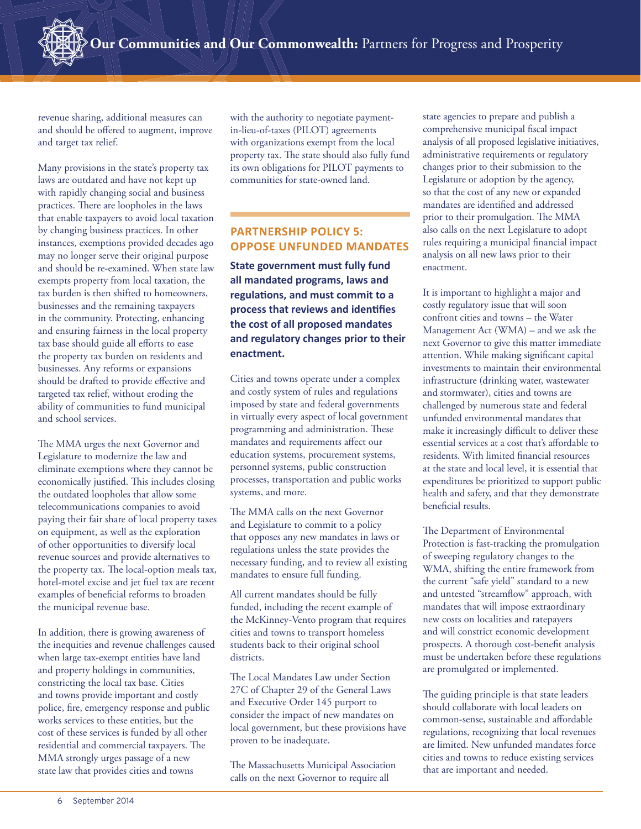revenue sharing, additional measures can and should be offered to augment, improve and target tax relief.

Many provisions in the state's property tax laws are outdated and have not kept up with rapidly changing social and business practices. There are loopholes in the laws that enable taxpayers to avoid local taxation by changing business practices. In other instances, exemptions provided decades ago may no longer serve their original purpose and should be re-examined. When state law exempts property from local taxation, the tax burden is then shifted to homeowners, businesses and the remaining taxpayers in the community. Protecting, enhancing and ensuring fairness in the local property tax base should guide all efforts to ease the property tax burden on residents and businesses. Any reforms or expansions should be drafted to provide effective and targeted tax relief, without eroding the ability of communities to fund municipal and school services.

The MMA urges the next Governor and Legislature to modernize the law and eliminate exemptions where they cannot be economically justified. This includes closing the outdated loopholes that allow some telecommunications companies to avoid paying their fair share of local property taxes on equipment, as well as the exploration of other opportunities to diversify local revenue sources and provide alternatives to the property tax. The local-option meals tax, hotel-motel excise and jet fuel tax are recent examples of beneficial reforms to broaden the municipal revenue base.

In addition, there is growing awareness of the inequities and revenue challenges caused when large tax-exempt entities have land and property holdings in communities, constricting the local tax base. Cities and towns provide important and costly police, fire, emergency response and public works services to these entities, but the cost of these services is funded by all other residential and commercial taxpayers. The MMA strongly urges passage of a new state law that provides cities and towns

with the authority to negotiate paymentin-lieu-of-taxes (PILOT) agreements with organizations exempt from the local property tax. The state should also fully fund its own obligations for PILOT payments to communities for state-owned land.

## **PARTNERSHIP POLICY 5: OPPOSE UNFUNDED MANDATES**

**State government must fully fund all mandated programs, laws and regulations, and must commit to a** process that reviews and identifies **the cost of all proposed mandates and regulatory changes prior to their enactment.**

Cities and towns operate under a complex and costly system of rules and regulations imposed by state and federal governments in virtually every aspect of local government programming and administration. These mandates and requirements affect our education systems, procurement systems, personnel systems, public construction processes, transportation and public works systems, and more.

The MMA calls on the next Governor and Legislature to commit to a policy that opposes any new mandates in laws or regulations unless the state provides the necessary funding, and to review all existing mandates to ensure full funding.

All current mandates should be fully funded, including the recent example of the McKinney-Vento program that requires cities and towns to transport homeless students back to their original school districts.

The Local Mandates Law under Section 27C of Chapter 29 of the General Laws and Executive Order 145 purport to consider the impact of new mandates on local government, but these provisions have proven to be inadequate.

The Massachusetts Municipal Association calls on the next Governor to require all

state agencies to prepare and publish a comprehensive municipal fiscal impact analysis of all proposed legislative initiatives, administrative requirements or regulatory changes prior to their submission to the Legislature or adoption by the agency, so that the cost of any new or expanded mandates are identified and addressed prior to their promulgation. The MMA also calls on the next Legislature to adopt rules requiring a municipal financial impact analysis on all new laws prior to their enactment.

It is important to highlight a major and costly regulatory issue that will soon confront cities and towns – the Water Management Act (WMA) – and we ask the next Governor to give this matter immediate attention. While making significant capital investments to maintain their environmental infrastructure (drinking water, wastewater and stormwater), cities and towns are challenged by numerous state and federal unfunded environmental mandates that make it increasingly difficult to deliver these essential services at a cost that's affordable to residents. With limited financial resources at the state and local level, it is essential that expenditures be prioritized to support public health and safety, and that they demonstrate beneficial results.

The Department of Environmental Protection is fast-tracking the promulgation of sweeping regulatory changes to the WMA, shifting the entire framework from the current "safe yield" standard to a new and untested "streamflow" approach, with mandates that will impose extraordinary new costs on localities and ratepayers and will constrict economic development prospects. A thorough cost-benefit analysis must be undertaken before these regulations are promulgated or implemented.

The guiding principle is that state leaders should collaborate with local leaders on common-sense, sustainable and affordable regulations, recognizing that local revenues are limited. New unfunded mandates force cities and towns to reduce existing services that are important and needed.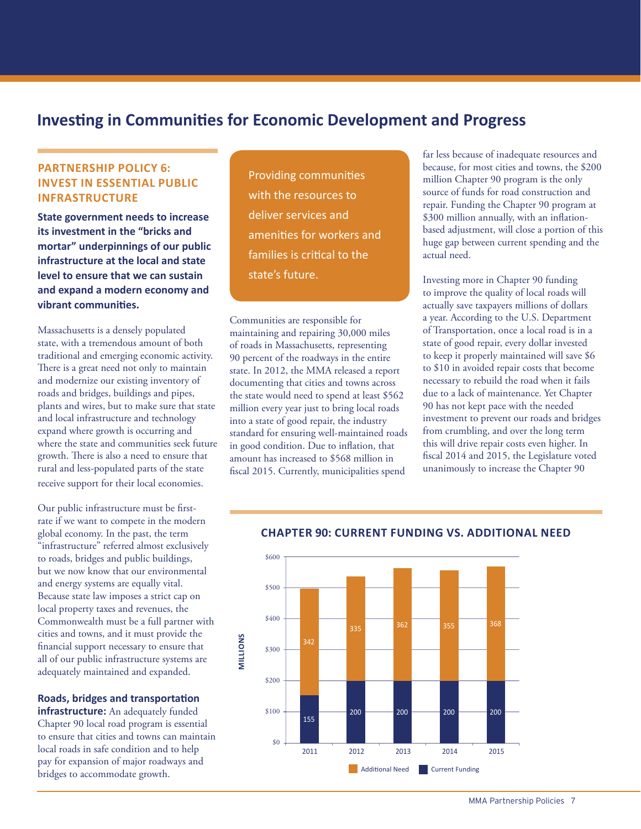# **Investing in Communities for Economic Development and Progress**

#### **PARTNERSHIP POLICY 6: INVEST IN ESSENTIAL PUBLIC INFRASTRUCTURE**

**State government needs to increase its investment in the "bricks and mortar" underpinnings of our public infrastructure at the local and state level to ensure that we can sustain and expand a modern economy and vibrant communities.** 

Massachusetts is a densely populated state, with a tremendous amount of both traditional and emerging economic activity. There is a great need not only to maintain and modernize our existing inventory of roads and bridges, buildings and pipes, plants and wires, but to make sure that state and local infrastructure and technology expand where growth is occurring and where the state and communities seek future growth. There is also a need to ensure that rural and less-populated parts of the state receive support for their local economies.

Our public infrastructure must be firstrate if we want to compete in the modern global economy. In the past, the term "infrastructure" referred almost exclusively to roads, bridges and public buildings, but we now know that our environmental and energy systems are equally vital. Because state law imposes a strict cap on local property taxes and revenues, the Commonwealth must be a full partner with cities and towns, and it must provide the financial support necessary to ensure that all of our public infrastructure systems are adequately maintained and expanded.

#### **Roads, bridges and transportation**

**infrastructure:** An adequately funded Chapter 90 local road program is essential to ensure that cities and towns can maintain local roads in safe condition and to help pay for expansion of major roadways and bridges to accommodate growth.

Providing communities with the resources to deliver services and amenities for workers and families is critical to the state's future.

Communities are responsible for maintaining and repairing 30,000 miles of roads in Massachusetts, representing 90 percent of the roadways in the entire state. In 2012, the MMA released a report documenting that cities and towns across the state would need to spend at least \$562 million every year just to bring local roads into a state of good repair, the industry standard for ensuring well-maintained roads in good condition. Due to inflation, that amount has increased to \$568 million in fiscal 2015. Currently, municipalities spend

far less because of inadequate resources and because, for most cities and towns, the \$200 million Chapter 90 program is the only source of funds for road construction and repair. Funding the Chapter 90 program at \$300 million annually, with an inflationbased adjustment, will close a portion of this huge gap between current spending and the actual need.

Investing more in Chapter 90 funding to improve the quality of local roads will actually save taxpayers millions of dollars a year. According to the U.S. Department of Transportation, once a local road is in a state of good repair, every dollar invested to keep it properly maintained will save \$6 to \$10 in avoided repair costs that become necessary to rebuild the road when it fails due to a lack of maintenance. Yet Chapter 90 has not kept pace with the needed investment to prevent our roads and bridges from crumbling, and over the long term this will drive repair costs even higher. In fiscal 2014 and 2015, the Legislature voted unanimously to increase the Chapter 90



## **Chapter 90 Current Funding vs. Additional Need CHAPTER 90: CURRENT FUNDING VS. ADDITIONAL NEED**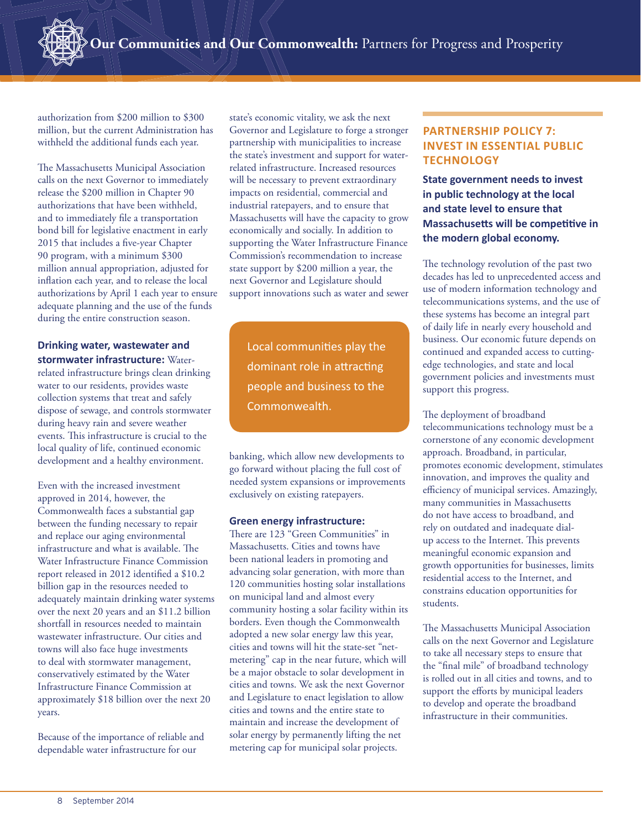authorization from \$200 million to \$300 million, but the current Administration has withheld the additional funds each year.

The Massachusetts Municipal Association calls on the next Governor to immediately release the \$200 million in Chapter 90 authorizations that have been withheld, and to immediately file a transportation bond bill for legislative enactment in early 2015 that includes a five-year Chapter 90 program, with a minimum \$300 million annual appropriation, adjusted for inflation each year, and to release the local authorizations by April 1 each year to ensure adequate planning and the use of the funds during the entire construction season.

**Drinking water, wastewater and stormwater infrastructure:** Waterrelated infrastructure brings clean drinking water to our residents, provides waste collection systems that treat and safely dispose of sewage, and controls stormwater during heavy rain and severe weather events. This infrastructure is crucial to the local quality of life, continued economic development and a healthy environment.

Even with the increased investment approved in 2014, however, the Commonwealth faces a substantial gap between the funding necessary to repair and replace our aging environmental infrastructure and what is available. The Water Infrastructure Finance Commission report released in 2012 identified a \$10.2 billion gap in the resources needed to adequately maintain drinking water systems over the next 20 years and an \$11.2 billion shortfall in resources needed to maintain wastewater infrastructure. Our cities and towns will also face huge investments to deal with stormwater management, conservatively estimated by the Water Infrastructure Finance Commission at approximately \$18 billion over the next 20 years.

Because of the importance of reliable and dependable water infrastructure for our

state's economic vitality, we ask the next Governor and Legislature to forge a stronger partnership with municipalities to increase the state's investment and support for waterrelated infrastructure. Increased resources will be necessary to prevent extraordinary impacts on residential, commercial and industrial ratepayers, and to ensure that Massachusetts will have the capacity to grow economically and socially. In addition to supporting the Water Infrastructure Finance Commission's recommendation to increase state support by \$200 million a year, the next Governor and Legislature should support innovations such as water and sewer

Local communities play the dominant role in attracting people and business to the Commonwealth.

banking, which allow new developments to go forward without placing the full cost of needed system expansions or improvements exclusively on existing ratepayers.

#### **Green energy infrastructure:**

There are 123 "Green Communities" in Massachusetts. Cities and towns have been national leaders in promoting and advancing solar generation, with more than 120 communities hosting solar installations on municipal land and almost every community hosting a solar facility within its borders. Even though the Commonwealth adopted a new solar energy law this year, cities and towns will hit the state-set "netmetering" cap in the near future, which will be a major obstacle to solar development in cities and towns. We ask the next Governor and Legislature to enact legislation to allow cities and towns and the entire state to maintain and increase the development of solar energy by permanently lifting the net metering cap for municipal solar projects.

## **PARTNERSHIP POLICY 7: INVEST IN ESSENTIAL PUBLIC TECHNOLOGY**

**State government needs to invest in public technology at the local and state level to ensure that Massachusetts will be competitive in the modern global economy.**

The technology revolution of the past two decades has led to unprecedented access and use of modern information technology and telecommunications systems, and the use of these systems has become an integral part of daily life in nearly every household and business. Our economic future depends on continued and expanded access to cuttingedge technologies, and state and local government policies and investments must support this progress.

The deployment of broadband telecommunications technology must be a cornerstone of any economic development approach. Broadband, in particular, promotes economic development, stimulates innovation, and improves the quality and efficiency of municipal services. Amazingly, many communities in Massachusetts do not have access to broadband, and rely on outdated and inadequate dialup access to the Internet. This prevents meaningful economic expansion and growth opportunities for businesses, limits residential access to the Internet, and constrains education opportunities for students.

The Massachusetts Municipal Association calls on the next Governor and Legislature to take all necessary steps to ensure that the "final mile" of broadband technology is rolled out in all cities and towns, and to support the efforts by municipal leaders to develop and operate the broadband infrastructure in their communities.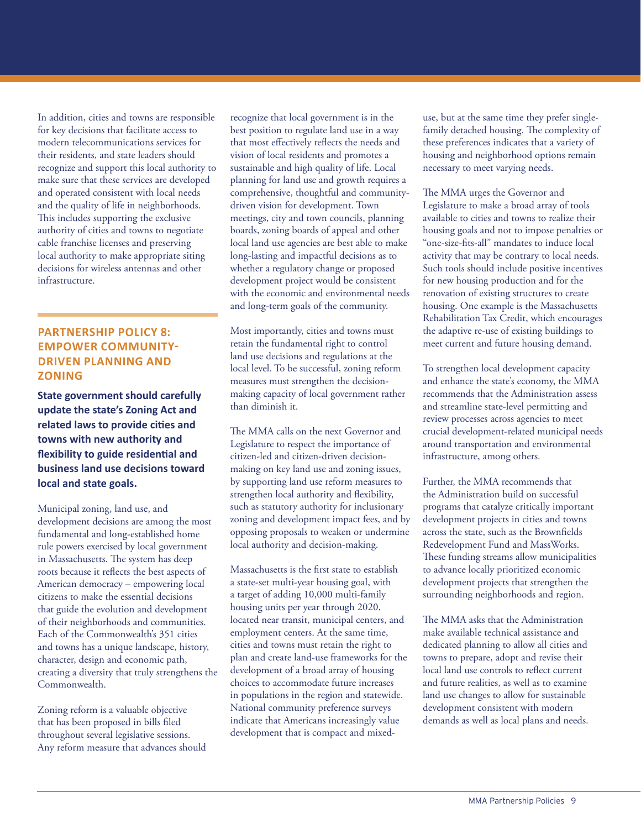In addition, cities and towns are responsible for key decisions that facilitate access to modern telecommunications services for their residents, and state leaders should recognize and support this local authority to make sure that these services are developed and operated consistent with local needs and the quality of life in neighborhoods. This includes supporting the exclusive authority of cities and towns to negotiate cable franchise licenses and preserving local authority to make appropriate siting decisions for wireless antennas and other infrastructure.

#### **PARTNERSHIP POLICY 8: EMPOWER COMMUNITY-DRIVEN PLANNING AND ZONING**

**State government should carefully update the state's Zoning Act and related laws to provide cities and towns with new authority and flexibility to guide residential and business land use decisions toward local and state goals.**

Municipal zoning, land use, and development decisions are among the most fundamental and long-established home rule powers exercised by local government in Massachusetts. The system has deep roots because it reflects the best aspects of American democracy – empowering local citizens to make the essential decisions that guide the evolution and development of their neighborhoods and communities. Each of the Commonwealth's 351 cities and towns has a unique landscape, history, character, design and economic path, creating a diversity that truly strengthens the Commonwealth.

Zoning reform is a valuable objective that has been proposed in bills filed throughout several legislative sessions. Any reform measure that advances should recognize that local government is in the best position to regulate land use in a way that most effectively reflects the needs and vision of local residents and promotes a sustainable and high quality of life. Local planning for land use and growth requires a comprehensive, thoughtful and communitydriven vision for development. Town meetings, city and town councils, planning boards, zoning boards of appeal and other local land use agencies are best able to make long-lasting and impactful decisions as to whether a regulatory change or proposed development project would be consistent with the economic and environmental needs and long-term goals of the community.

Most importantly, cities and towns must retain the fundamental right to control land use decisions and regulations at the local level. To be successful, zoning reform measures must strengthen the decisionmaking capacity of local government rather than diminish it.

The MMA calls on the next Governor and Legislature to respect the importance of citizen-led and citizen-driven decisionmaking on key land use and zoning issues, by supporting land use reform measures to strengthen local authority and flexibility, such as statutory authority for inclusionary zoning and development impact fees, and by opposing proposals to weaken or undermine local authority and decision-making.

Massachusetts is the first state to establish a state-set multi-year housing goal, with a target of adding 10,000 multi-family housing units per year through 2020, located near transit, municipal centers, and employment centers. At the same time, cities and towns must retain the right to plan and create land-use frameworks for the development of a broad array of housing choices to accommodate future increases in populations in the region and statewide. National community preference surveys indicate that Americans increasingly value development that is compact and mixeduse, but at the same time they prefer singlefamily detached housing. The complexity of these preferences indicates that a variety of housing and neighborhood options remain necessary to meet varying needs.

The MMA urges the Governor and Legislature to make a broad array of tools available to cities and towns to realize their housing goals and not to impose penalties or "one-size-fits-all" mandates to induce local activity that may be contrary to local needs. Such tools should include positive incentives for new housing production and for the renovation of existing structures to create housing. One example is the Massachusetts Rehabilitation Tax Credit, which encourages the adaptive re-use of existing buildings to meet current and future housing demand.

To strengthen local development capacity and enhance the state's economy, the MMA recommends that the Administration assess and streamline state-level permitting and review processes across agencies to meet crucial development-related municipal needs around transportation and environmental infrastructure, among others.

Further, the MMA recommends that the Administration build on successful programs that catalyze critically important development projects in cities and towns across the state, such as the Brownfields Redevelopment Fund and MassWorks. These funding streams allow municipalities to advance locally prioritized economic development projects that strengthen the surrounding neighborhoods and region.

The MMA asks that the Administration make available technical assistance and dedicated planning to allow all cities and towns to prepare, adopt and revise their local land use controls to reflect current and future realities, as well as to examine land use changes to allow for sustainable development consistent with modern demands as well as local plans and needs.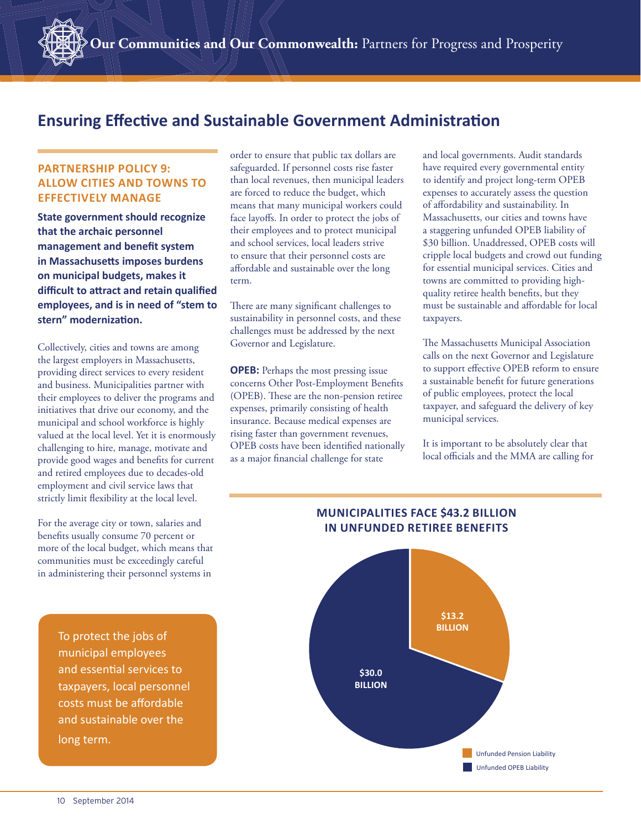# **Ensuring Effective and Sustainable Government Administration**

#### **PARTNERSHIP POLICY 9: ALLOW CITIES AND TOWNS TO EFFECTIVELY MANAGE**

**State government should recognize that the archaic personnel management and benefit system in Massachusetts imposes burdens on municipal budgets, makes it**  difficult to attract and retain qualified **employees, and is in need of "stem to**  stern" modernization.

Collectively, cities and towns are among the largest employers in Massachusetts, providing direct services to every resident and business. Municipalities partner with their employees to deliver the programs and initiatives that drive our economy, and the municipal and school workforce is highly valued at the local level. Yet it is enormously challenging to hire, manage, motivate and provide good wages and benefits for current and retired employees due to decades-old employment and civil service laws that strictly limit flexibility at the local level.

For the average city or town, salaries and benefits usually consume 70 percent or more of the local budget, which means that communities must be exceedingly careful in administering their personnel systems in

> To protect the jobs of municipal employees and essential services to taxpayers, local personnel costs must be affordable and sustainable over the long term.

order to ensure that public tax dollars are safeguarded. If personnel costs rise faster than local revenues, then municipal leaders are forced to reduce the budget, which means that many municipal workers could face layoffs. In order to protect the jobs of their employees and to protect municipal and school services, local leaders strive to ensure that their personnel costs are affordable and sustainable over the long term.

There are many significant challenges to sustainability in personnel costs, and these challenges must be addressed by the next Governor and Legislature.

**OPEB:** Perhaps the most pressing issue concerns Other Post-Employment Benefits (OPEB). These are the non-pension retiree expenses, primarily consisting of health insurance. Because medical expenses are rising faster than government revenues, OPEB costs have been identified nationally as a major financial challenge for state

and local governments. Audit standards have required every governmental entity to identify and project long-term OPEB expenses to accurately assess the question of affordability and sustainability. In Massachusetts, our cities and towns have a staggering unfunded OPEB liability of \$30 billion. Unaddressed, OPEB costs will cripple local budgets and crowd out funding for essential municipal services. Cities and towns are committed to providing highquality retiree health benefits, but they must be sustainable and affordable for local taxpayers.

The Massachusetts Municipal Association calls on the next Governor and Legislature to support effective OPEB reform to ensure a sustainable benefit for future generations of public employees, protect the local taxpayer, and safeguard the delivery of key municipal services.

It is important to be absolutely clear that local officials and the MMA are calling for



## **MUNICIPALITIES FACE \$43.2 BILLION IN UNFUNDED RETIREE BENEFITS**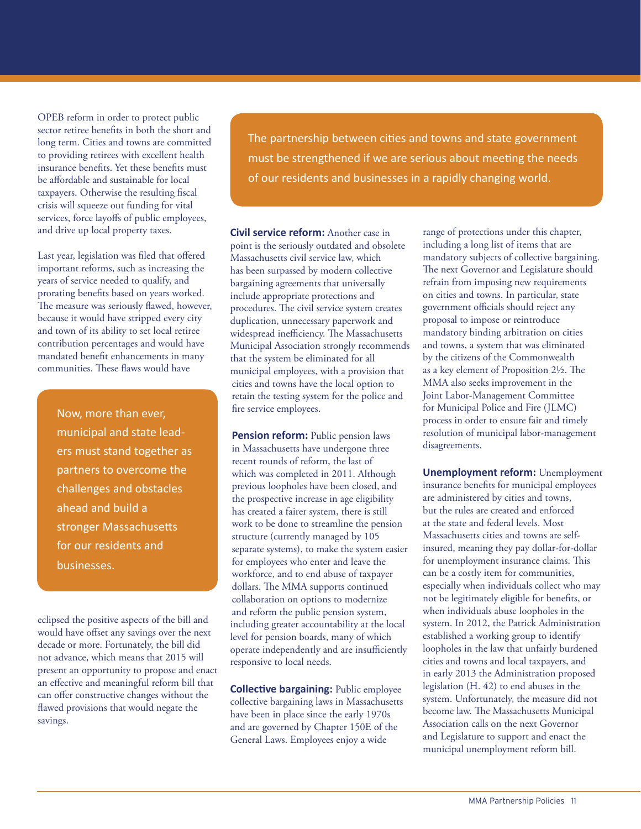OPEB reform in order to protect public sector retiree benefits in both the short and long term. Cities and towns are committed to providing retirees with excellent health insurance benefits. Yet these benefits must be affordable and sustainable for local taxpayers. Otherwise the resulting fiscal crisis will squeeze out funding for vital services, force layoffs of public employees, and drive up local property taxes.

Last year, legislation was filed that offered important reforms, such as increasing the years of service needed to qualify, and prorating benefits based on years worked. The measure was seriously flawed, however, because it would have stripped every city and town of its ability to set local retiree contribution percentages and would have mandated benefit enhancements in many communities. These flaws would have

> Now, more than ever, municipal and state leaders must stand together as partners to overcome the challenges and obstacles ahead and build a stronger Massachusetts for our residents and businesses.

eclipsed the positive aspects of the bill and would have offset any savings over the next decade or more. Fortunately, the bill did not advance, which means that 2015 will present an opportunity to propose and enact an effective and meaningful reform bill that can offer constructive changes without the flawed provisions that would negate the savings.

The partnership between cities and towns and state government must be strengthened if we are serious about meeting the needs of our residents and businesses in a rapidly changing world.

**Civil service reform:** Another case in point is the seriously outdated and obsolete Massachusetts civil service law, which has been surpassed by modern collective bargaining agreements that universally include appropriate protections and procedures. The civil service system creates duplication, unnecessary paperwork and widespread inefficiency. The Massachusetts Municipal Association strongly recommends that the system be eliminated for all municipal employees, with a provision that cities and towns have the local option to retain the testing system for the police and fire service employees.

**Pension reform:** Public pension laws in Massachusetts have undergone three recent rounds of reform, the last of which was completed in 2011. Although previous loopholes have been closed, and the prospective increase in age eligibility has created a fairer system, there is still work to be done to streamline the pension structure (currently managed by 105 separate systems), to make the system easier for employees who enter and leave the workforce, and to end abuse of taxpayer dollars. The MMA supports continued collaboration on options to modernize and reform the public pension system, including greater accountability at the local level for pension boards, many of which operate independently and are insufficiently responsive to local needs.

**Collective bargaining:** Public employee collective bargaining laws in Massachusetts have been in place since the early 1970s and are governed by Chapter 150E of the General Laws. Employees enjoy a wide

range of protections under this chapter, including a long list of items that are mandatory subjects of collective bargaining. The next Governor and Legislature should refrain from imposing new requirements on cities and towns. In particular, state government officials should reject any proposal to impose or reintroduce mandatory binding arbitration on cities and towns, a system that was eliminated by the citizens of the Commonwealth as a key element of Proposition 2½. The MMA also seeks improvement in the Joint Labor-Management Committee for Municipal Police and Fire (JLMC) process in order to ensure fair and timely resolution of municipal labor-management disagreements.

**Unemployment reform:** Unemployment insurance benefits for municipal employees are administered by cities and towns, but the rules are created and enforced at the state and federal levels. Most Massachusetts cities and towns are selfinsured, meaning they pay dollar-for-dollar for unemployment insurance claims. This can be a costly item for communities, especially when individuals collect who may not be legitimately eligible for benefits, or when individuals abuse loopholes in the system. In 2012, the Patrick Administration established a working group to identify loopholes in the law that unfairly burdened cities and towns and local taxpayers, and in early 2013 the Administration proposed legislation (H. 42) to end abuses in the system. Unfortunately, the measure did not become law. The Massachusetts Municipal Association calls on the next Governor and Legislature to support and enact the municipal unemployment reform bill.